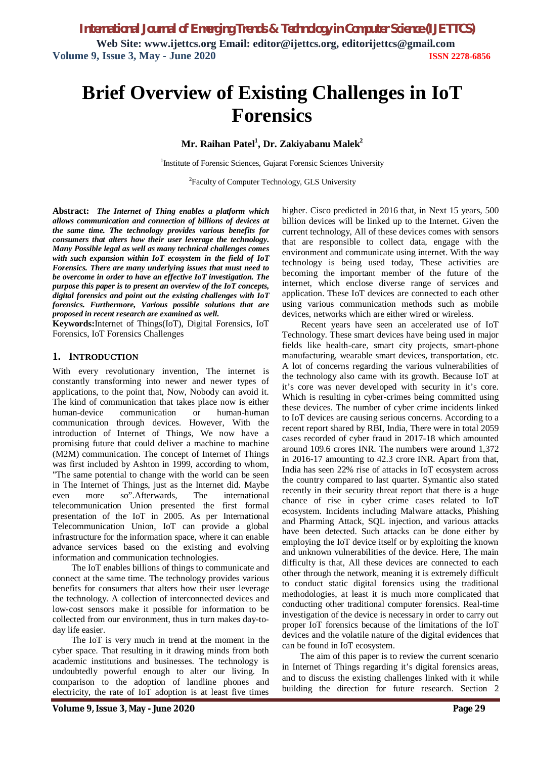# **Brief Overview of Existing Challenges in IoT Forensics**

**Mr. Raihan Patel<sup>1</sup> , Dr. Zakiyabanu Malek<sup>2</sup>**

<sup>1</sup>Institute of Forensic Sciences, Gujarat Forensic Sciences University

<sup>2</sup>Faculty of Computer Technology, GLS University

**Abstract:** *The Internet of Thing enables a platform which allows communication and connection of billions of devices at the same time. The technology provides various benefits for consumers that alters how their user leverage the technology. Many Possible legal as well as many technical challenges comes with such expansion within IoT ecosystem in the field of IoT Forensics. There are many underlying issues that must need to be overcome in order to have an effective IoT investigation. The purpose this paper is to present an overview of the IoT concepts, digital forensics and point out the existing challenges with IoT forensics. Furthermore, Various possible solutions that are proposed in recent research are examined as well.*

**Keywords:**Internet of Things(IoT), Digital Forensics, IoT Forensics, IoT Forensics Challenges

#### **1. INTRODUCTION**

With every revolutionary invention, The internet is constantly transforming into newer and newer types of applications, to the point that, Now, Nobody can avoid it. The kind of communication that takes place now is either human-device communication or human-human communication through devices. However, With the introduction of Internet of Things, We now have a promising future that could deliver a machine to machine (M2M) communication. The concept of Internet of Things was first included by Ashton in 1999, according to whom, "The same potential to change with the world can be seen in The Internet of Things, just as the Internet did. Maybe even more so".Afterwards, The international telecommunication Union presented the first formal presentation of the IoT in 2005. As per International Telecommunication Union, IoT can provide a global infrastructure for the information space, where it can enable advance services based on the existing and evolving information and communication technologies.

The IoT enables billions of things to communicate and connect at the same time. The technology provides various benefits for consumers that alters how their user leverage the technology. A collection of interconnected devices and low-cost sensors make it possible for information to be collected from our environment, thus in turn makes day-today life easier.

The IoT is very much in trend at the moment in the cyber space. That resulting in it drawing minds from both academic institutions and businesses. The technology is undoubtedly powerful enough to alter our living. In comparison to the adoption of landline phones and electricity, the rate of IoT adoption is at least five times

higher. Cisco predicted in 2016 that, in Next 15 years, 500 billion devices will be linked up to the Internet. Given the current technology, All of these devices comes with sensors that are responsible to collect data, engage with the environment and communicate using internet. With the way technology is being used today, These activities are becoming the important member of the future of the internet, which enclose diverse range of services and application. These IoT devices are connected to each other using various communication methods such as mobile devices, networks which are either wired or wireless.

Recent years have seen an accelerated use of IoT Technology. These smart devices have being used in major fields like health-care, smart city projects, smart-phone manufacturing, wearable smart devices, transportation, etc. A lot of concerns regarding the various vulnerabilities of the technology also came with its growth. Because IoT at it's core was never developed with security in it's core. Which is resulting in cyber-crimes being committed using these devices. The number of cyber crime incidents linked to IoT devices are causing serious concerns. According to a recent report shared by RBI, India, There were in total 2059 cases recorded of cyber fraud in 2017-18 which amounted around 109.6 crores INR. The numbers were around 1,372 in 2016-17 amounting to 42.3 crore INR. Apart from that, India has seen 22% rise of attacks in IoT ecosystem across the country compared to last quarter. Symantic also stated recently in their security threat report that there is a huge chance of rise in cyber crime cases related to IoT ecosystem. Incidents including Malware attacks, Phishing and Pharming Attack, SQL injection, and various attacks have been detected. Such attacks can be done either by employing the IoT device itself or by exploiting the known and unknown vulnerabilities of the device. Here, The main difficulty is that, All these devices are connected to each other through the network, meaning it is extremely difficult to conduct static digital forensics using the traditional methodologies, at least it is much more complicated that conducting other traditional computer forensics. Real-time investigation of the device is necessary in order to carry out proper IoT forensics because of the limitations of the IoT devices and the volatile nature of the digital evidences that can be found in IoT ecosystem.

The aim of this paper is to review the current scenario in Internet of Things regarding it's digital forensics areas, and to discuss the existing challenges linked with it while building the direction for future research. Section 2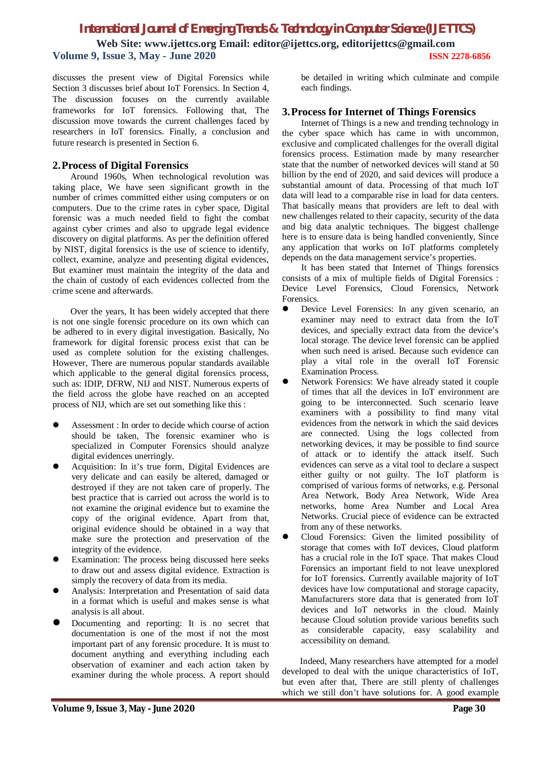discusses the present view of Digital Forensics while Section 3 discusses brief about IoT Forensics. In Section 4, The discussion focuses on the currently available frameworks for IoT forensics. Following that, The discussion move towards the current challenges faced by researchers in IoT forensics. Finally, a conclusion and future research is presented in Section 6.

## **2.Process of Digital Forensics**

Around 1960s, When technological revolution was taking place, We have seen significant growth in the number of crimes committed either using computers or on computers. Due to the crime rates in cyber space, Digital forensic was a much needed field to fight the combat against cyber crimes and also to upgrade legal evidence discovery on digital platforms. As per the definition offered by NIST, digital forensics is the use of science to identify, collect, examine, analyze and presenting digital evidences, But examiner must maintain the integrity of the data and the chain of custody of each evidences collected from the crime scene and afterwards.

Over the years, It has been widely accepted that there is not one single forensic procedure on its own which can be adhered to in every digital investigation. Basically, No framework for digital forensic process exist that can be used as complete solution for the existing challenges. However, There are numerous popular standards available which applicable to the general digital forensics process, such as: IDIP, DFRW, NIJ and NIST. Numerous experts of the field across the globe have reached on an accepted process of NIJ, which are set out something like this :

- Assessment : In order to decide which course of action should be taken, The forensic examiner who is specialized in Computer Forensics should analyze digital evidences unerringly.
- Acquisition: In it's true form, Digital Evidences are very delicate and can easily be altered, damaged or destroyed if they are not taken care of properly. The best practice that is carried out across the world is to not examine the original evidence but to examine the copy of the original evidence. Apart from that, original evidence should be obtained in a way that make sure the protection and preservation of the integrity of the evidence.
- Examination: The process being discussed here seeks to draw out and assess digital evidence. Extraction is simply the recovery of data from its media.
- Analysis: Interpretation and Presentation of said data in a format which is useful and makes sense is what analysis is all about.
- Documenting and reporting: It is no secret that documentation is one of the most if not the most important part of any forensic procedure. It is must to document anything and everything including each observation of examiner and each action taken by examiner during the whole process. A report should

be detailed in writing which culminate and compile each findings.

## **3.Process for Internet of Things Forensics**

Internet of Things is a new and trending technology in the cyber space which has came in with uncommon, exclusive and complicated challenges for the overall digital forensics process. Estimation made by many researcher state that the number of networked devices will stand at 50 billion by the end of 2020, and said devices will produce a substantial amount of data. Processing of that much IoT data will lead to a comparable rise in load for data centers. That basically means that providers are left to deal with new challenges related to their capacity, security of the data and big data analytic techniques. The biggest challenge here is to ensure data is being handled conveniently, Since any application that works on IoT platforms completely depends on the data management service's properties.

It has been stated that Internet of Things forensics consists of a mix of multiple fields of Digital Forensics : Device Level Forensics, Cloud Forensics, Network Forensics.

- Device Level Forensics: In any given scenario, an examiner may need to extract data from the IoT devices, and specially extract data from the device's local storage. The device level forensic can be applied when such need is arised. Because such evidence can play a vital role in the overall IoT Forensic Examination Process.
- Network Forensics: We have already stated it couple of times that all the devices in IoT environment are going to be interconnected. Such scenario leave examiners with a possibility to find many vital evidences from the network in which the said devices are connected. Using the logs collected from networking devices, it may be possible to find source of attack or to identify the attack itself. Such evidences can serve as a vital tool to declare a suspect either guilty or not guilty. The IoT platform is comprised of various forms of networks, e.g. Personal Area Network, Body Area Network, Wide Area networks, home Area Number and Local Area Networks. Crucial piece of evidence can be extracted from any of these networks.
- Cloud Forensics: Given the limited possibility of storage that comes with IoT devices, Cloud platform has a crucial role in the IoT space. That makes Cloud Forensics an important field to not leave unexplored for IoT forensics. Currently available majority of IoT devices have low computational and storage capacity, Manufacturers store data that is generated from IoT devices and IoT networks in the cloud. Mainly because Cloud solution provide various benefits such as considerable capacity, easy scalability and accessibility on demand.

Indeed, Many researchers have attempted for a model developed to deal with the unique characteristics of IoT, but even after that, There are still plenty of challenges which we still don't have solutions for. A good example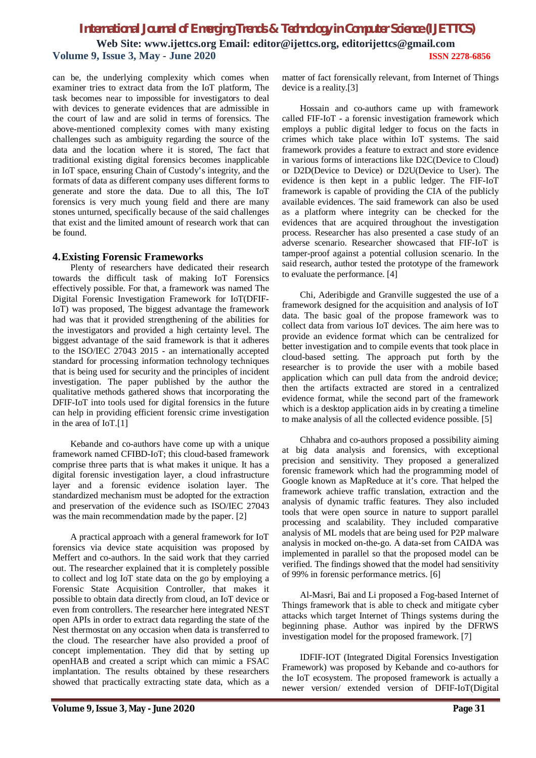can be, the underlying complexity which comes when examiner tries to extract data from the IoT platform, The task becomes near to impossible for investigators to deal with devices to generate evidences that are admissible in the court of law and are solid in terms of forensics. The above-mentioned complexity comes with many existing challenges such as ambiguity regarding the source of the data and the location where it is stored, The fact that traditional existing digital forensics becomes inapplicable in IoT space, ensuring Chain of Custody's integrity, and the formats of data as different company uses different forms to generate and store the data. Due to all this, The IoT forensics is very much young field and there are many stones unturned, specifically because of the said challenges that exist and the limited amount of research work that can be found.

#### **4.Existing Forensic Frameworks**

Plenty of researchers have dedicated their research towards the difficult task of making IoT Forensics effectively possible. For that, a framework was named The Digital Forensic Investigation Framework for IoT(DFIF-IoT) was proposed, The biggest advantage the framework had was that it provided strengthening of the abilities for the investigators and provided a high certainty level. The biggest advantage of the said framework is that it adheres to the ISO/IEC 27043 2015 - an internationally accepted standard for processing information technology techniques that is being used for security and the principles of incident investigation. The paper published by the author the qualitative methods gathered shows that incorporating the DFIF-IoT into tools used for digital forensics in the future can help in providing efficient forensic crime investigation in the area of IoT.[1]

Kebande and co-authors have come up with a unique framework named CFIBD-IoT; this cloud-based framework comprise three parts that is what makes it unique. It has a digital forensic investigation layer, a cloud infrastructure layer and a forensic evidence isolation layer. The standardized mechanism must be adopted for the extraction and preservation of the evidence such as ISO/IEC 27043 was the main recommendation made by the paper. [2]

A practical approach with a general framework for IoT forensics via device state acquisition was proposed by Meffert and co-authors. In the said work that they carried out. The researcher explained that it is completely possible to collect and log IoT state data on the go by employing a Forensic State Acquisition Controller, that makes it possible to obtain data directly from cloud, an IoT device or even from controllers. The researcher here integrated NEST open APIs in order to extract data regarding the state of the Nest thermostat on any occasion when data is transferred to the cloud. The researcher have also provided a proof of concept implementation. They did that by setting up openHAB and created a script which can mimic a FSAC implantation. The results obtained by these researchers showed that practically extracting state data, which as a matter of fact forensically relevant, from Internet of Things device is a reality.[3]

Hossain and co-authors came up with framework called FIF-IoT - a forensic investigation framework which employs a public digital ledger to focus on the facts in crimes which take place within IoT systems. The said framework provides a feature to extract and store evidence in various forms of interactions like D2C(Device to Cloud) or D2D(Device to Device) or D2U(Device to User). The evidence is then kept in a public ledger. The FIF-IoT framework is capable of providing the CIA of the publicly available evidences. The said framework can also be used as a platform where integrity can be checked for the evidences that are acquired throughout the investigation process. Researcher has also presented a case study of an adverse scenario. Researcher showcased that FIF-IoT is tamper-proof against a potential collusion scenario. In the said research, author tested the prototype of the framework to evaluate the performance. [4]

Chi, Aderibigde and Granville suggested the use of a framework designed for the acquisition and analysis of IoT data. The basic goal of the propose framework was to collect data from various IoT devices. The aim here was to provide an evidence format which can be centralized for better investigation and to compile events that took place in cloud-based setting. The approach put forth by the researcher is to provide the user with a mobile based application which can pull data from the android device; then the artifacts extracted are stored in a centralized evidence format, while the second part of the framework which is a desktop application aids in by creating a timeline to make analysis of all the collected evidence possible. [5]

Chhabra and co-authors proposed a possibility aiming at big data analysis and forensics, with exceptional precision and sensitivity. They proposed a generalized forensic framework which had the programming model of Google known as MapReduce at it's core. That helped the framework achieve traffic translation, extraction and the analysis of dynamic traffic features. They also included tools that were open source in nature to support parallel processing and scalability. They included comparative analysis of ML models that are being used for P2P malware analysis in mocked on-the-go. A data-set from CAIDA was implemented in parallel so that the proposed model can be verified. The findings showed that the model had sensitivity of 99% in forensic performance metrics. [6]

Al-Masri, Bai and Li proposed a Fog-based Internet of Things framework that is able to check and mitigate cyber attacks which target Internet of Things systems during the beginning phase. Author was inpired by the DFRWS investigation model for the proposed framework. [7]

IDFIF-IOT (Integrated Digital Forensics Investigation Framework) was proposed by Kebande and co-authors for the IoT ecosystem. The proposed framework is actually a newer version/ extended version of DFIF-IoT(Digital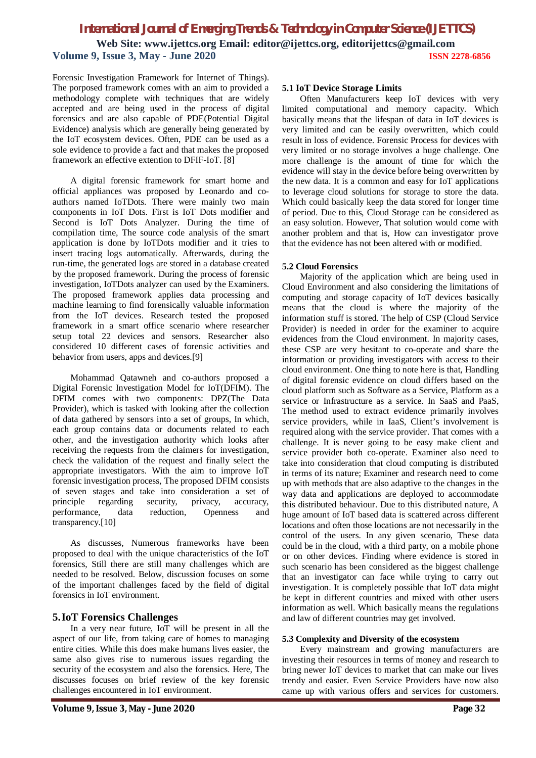Forensic Investigation Framework for Internet of Things). The porposed framework comes with an aim to provided a methodology complete with techniques that are widely accepted and are being used in the process of digital forensics and are also capable of PDE(Potential Digital Evidence) analysis which are generally being generated by the IoT ecosystem devices. Often, PDE can be used as a sole evidence to provide a fact and that makes the proposed framework an effective extention to DFIF-IoT. [8]

A digital forensic framework for smart home and official appliances was proposed by Leonardo and coauthors named IoTDots. There were mainly two main components in IoT Dots. First is IoT Dots modifier and Second is IoT Dots Analyzer. During the time of compilation time, The source code analysis of the smart application is done by IoTDots modifier and it tries to insert tracing logs automatically. Afterwards, during the run-time, the generated logs are stored in a database created by the proposed framework. During the process of forensic investigation, IoTDots analyzer can used by the Examiners. The proposed framework applies data processing and machine learning to find forensically valuable information from the IoT devices. Research tested the proposed framework in a smart office scenario where researcher setup total 22 devices and sensors. Researcher also considered 10 different cases of forensic activities and behavior from users, apps and devices.[9]

Mohammad Qatawneh and co-authors proposed a Digital Forensic Investigation Model for IoT(DFIM). The DFIM comes with two components: DPZ(The Data Provider), which is tasked with looking after the collection of data gathered by sensors into a set of groups, In which, each group contains data or documents related to each other, and the investigation authority which looks after receiving the requests from the claimers for investigation, check the validation of the request and finally select the appropriate investigators. With the aim to improve IoT forensic investigation process, The proposed DFIM consists of seven stages and take into consideration a set of principle regarding security, privacy, accuracy, performance, data reduction, Openness and transparency.[10]

As discusses, Numerous frameworks have been proposed to deal with the unique characteristics of the IoT forensics, Still there are still many challenges which are needed to be resolved. Below, discussion focuses on some of the important challenges faced by the field of digital forensics in IoT environment.

### **5.IoT Forensics Challenges**

In a very near future, IoT will be present in all the aspect of our life, from taking care of homes to managing entire cities. While this does make humans lives easier, the same also gives rise to numerous issues regarding the security of the ecosystem and also the forensics. Here, The discusses focuses on brief review of the key forensic challenges encountered in IoT environment.

#### **5.1 IoT Device Storage Limits**

Often Manufacturers keep IoT devices with very limited computational and memory capacity. Which basically means that the lifespan of data in IoT devices is very limited and can be easily overwritten, which could result in loss of evidence. Forensic Process for devices with very limited or no storage involves a huge challenge. One more challenge is the amount of time for which the evidence will stay in the device before being overwritten by the new data. It is a common and easy for IoT applications to leverage cloud solutions for storage to store the data. Which could basically keep the data stored for longer time of period. Due to this, Cloud Storage can be considered as an easy solution. However, That solution would come with another problem and that is, How can investigator prove that the evidence has not been altered with or modified.

#### **5.2 Cloud Forensics**

Majority of the application which are being used in Cloud Environment and also considering the limitations of computing and storage capacity of IoT devices basically means that the cloud is where the majority of the information stuff is stored. The help of CSP (Cloud Service Provider) is needed in order for the examiner to acquire evidences from the Cloud environment. In majority cases, these CSP are very hesitant to co-operate and share the information or providing investigators with access to their cloud environment. One thing to note here is that, Handling of digital forensic evidence on cloud differs based on the cloud platform such as Software as a Service, Platform as a service or Infrastructure as a service. In SaaS and PaaS, The method used to extract evidence primarily involves service providers, while in IaaS, Client's involvement is required along with the service provider. That comes with a challenge. It is never going to be easy make client and service provider both co-operate. Examiner also need to take into consideration that cloud computing is distributed in terms of its nature; Examiner and research need to come up with methods that are also adaptive to the changes in the way data and applications are deployed to accommodate this distributed behaviour. Due to this distributed nature, A huge amount of IoT based data is scattered across different locations and often those locations are not necessarily in the control of the users. In any given scenario, These data could be in the cloud, with a third party, on a mobile phone or on other devices. Finding where evidence is stored in such scenario has been considered as the biggest challenge that an investigator can face while trying to carry out investigation. It is completely possible that IoT data might be kept in different countries and mixed with other users information as well. Which basically means the regulations and law of different countries may get involved.

#### **5.3 Complexity and Diversity of the ecosystem**

Every mainstream and growing manufacturers are investing their resources in terms of money and research to bring newer IoT devices to market that can make our lives trendy and easier. Even Service Providers have now also came up with various offers and services for customers.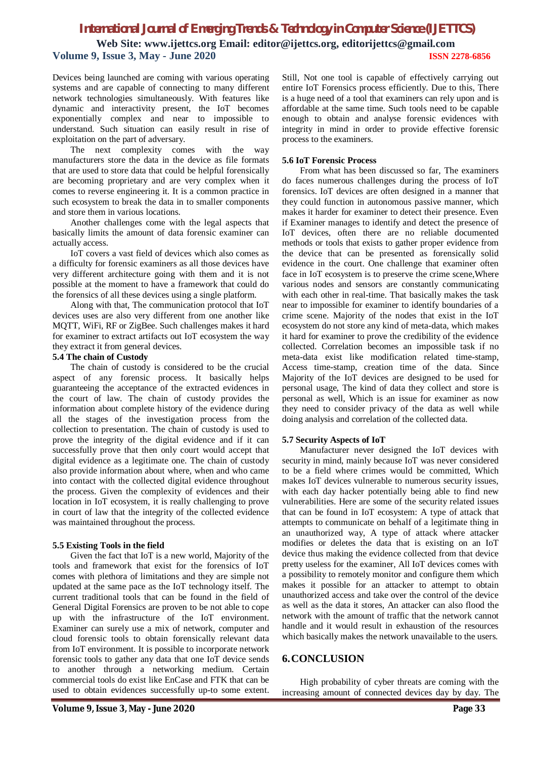Devices being launched are coming with various operating systems and are capable of connecting to many different network technologies simultaneously. With features like dynamic and interactivity present, the IoT becomes exponentially complex and near to impossible to understand. Such situation can easily result in rise of exploitation on the part of adversary.

The next complexity comes with the way manufacturers store the data in the device as file formats that are used to store data that could be helpful forensically are becoming proprietary and are very complex when it comes to reverse engineering it. It is a common practice in such ecosystem to break the data in to smaller components and store them in various locations.

Another challenges come with the legal aspects that basically limits the amount of data forensic examiner can actually access.

IoT covers a vast field of devices which also comes as a difficulty for forensic examiners as all those devices have very different architecture going with them and it is not possible at the moment to have a framework that could do the forensics of all these devices using a single platform.

Along with that, The communication protocol that IoT devices uses are also very different from one another like MQTT, WiFi, RF or ZigBee. Such challenges makes it hard for examiner to extract artifacts out IoT ecosystem the way they extract it from general devices.

#### **5.4 The chain of Custody**

The chain of custody is considered to be the crucial aspect of any forensic process. It basically helps guaranteeing the acceptance of the extracted evidences in the court of law. The chain of custody provides the information about complete history of the evidence during all the stages of the investigation process from the collection to presentation. The chain of custody is used to prove the integrity of the digital evidence and if it can successfully prove that then only court would accept that digital evidence as a legitimate one. The chain of custody also provide information about where, when and who came into contact with the collected digital evidence throughout the process. Given the complexity of evidences and their location in IoT ecosystem, it is really challenging to prove in court of law that the integrity of the collected evidence was maintained throughout the process.

#### **5.5 Existing Tools in the field**

Given the fact that IoT is a new world, Majority of the tools and framework that exist for the forensics of IoT comes with plethora of limitations and they are simple not updated at the same pace as the IoT technology itself. The current traditional tools that can be found in the field of General Digital Forensics are proven to be not able to cope up with the infrastructure of the IoT environment. Examiner can surely use a mix of network, computer and cloud forensic tools to obtain forensically relevant data from IoT environment. It is possible to incorporate network forensic tools to gather any data that one IoT device sends to another through a networking medium. Certain commercial tools do exist like EnCase and FTK that can be used to obtain evidences successfully up-to some extent.

Still, Not one tool is capable of effectively carrying out entire IoT Forensics process efficiently. Due to this, There is a huge need of a tool that examiners can rely upon and is affordable at the same time. Such tools need to be capable enough to obtain and analyse forensic evidences with integrity in mind in order to provide effective forensic process to the examiners.

#### **5.6 IoT Forensic Process**

From what has been discussed so far, The examiners do faces numerous challenges during the process of IoT forensics. IoT devices are often designed in a manner that they could function in autonomous passive manner, which makes it harder for examiner to detect their presence. Even if Examiner manages to identify and detect the presence of IoT devices, often there are no reliable documented methods or tools that exists to gather proper evidence from the device that can be presented as forensically solid evidence in the court. One challenge that examiner often face in IoT ecosystem is to preserve the crime scene,Where various nodes and sensors are constantly communicating with each other in real-time. That basically makes the task near to impossible for examiner to identify boundaries of a crime scene. Majority of the nodes that exist in the IoT ecosystem do not store any kind of meta-data, which makes it hard for examiner to prove the credibility of the evidence collected. Correlation becomes an impossible task if no meta-data exist like modification related time-stamp, Access time-stamp, creation time of the data. Since Majority of the IoT devices are designed to be used for personal usage, The kind of data they collect and store is personal as well, Which is an issue for examiner as now they need to consider privacy of the data as well while doing analysis and correlation of the collected data.

#### **5.7 Security Aspects of IoT**

Manufacturer never designed the IoT devices with security in mind, mainly because IoT was never considered to be a field where crimes would be committed, Which makes IoT devices vulnerable to numerous security issues, with each day hacker potentially being able to find new vulnerabilities. Here are some of the security related issues that can be found in IoT ecosystem: A type of attack that attempts to communicate on behalf of a legitimate thing in an unauthorized way, A type of attack where attacker modifies or deletes the data that is existing on an IoT device thus making the evidence collected from that device pretty useless for the examiner, All IoT devices comes with a possibility to remotely monitor and configure them which makes it possible for an attacker to attempt to obtain unauthorized access and take over the control of the device as well as the data it stores, An attacker can also flood the network with the amount of traffic that the network cannot handle and it would result in exhaustion of the resources which basically makes the network unavailable to the users.

## **6.CONCLUSION**

High probability of cyber threats are coming with the increasing amount of connected devices day by day. The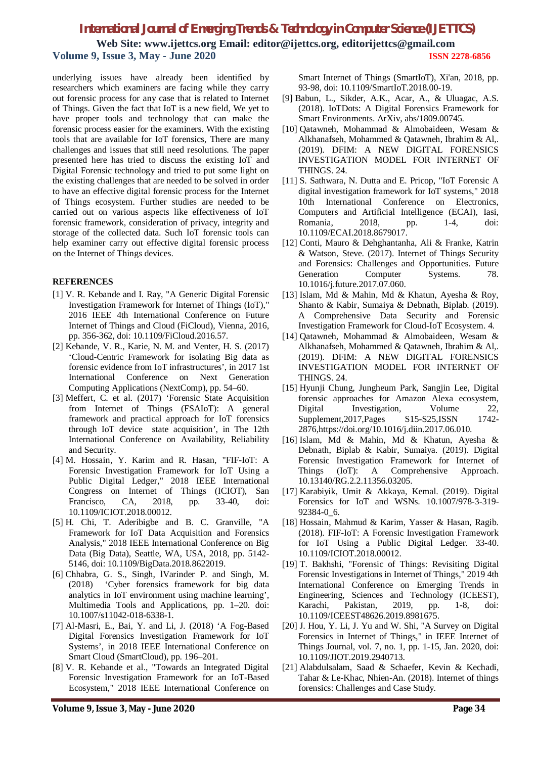# *International Journal of Emerging Trends & Technology in Computer Science (IJETTCS)*

**Web Site: www.ijettcs.org Email: editor@ijettcs.org, editorijettcs@gmail.com Volume 9, Issue 3, May - June 2020 ISSN 2278-6856**

underlying issues have already been identified by researchers which examiners are facing while they carry out forensic process for any case that is related to Internet of Things. Given the fact that IoT is a new field, We yet to have proper tools and technology that can make the forensic process easier for the examiners. With the existing tools that are available for IoT forensics, There are many challenges and issues that still need resolutions. The paper presented here has tried to discuss the existing IoT and Digital Forensic technology and tried to put some light on the existing challenges that are needed to be solved in order to have an effective digital forensic process for the Internet of Things ecosystem. Further studies are needed to be carried out on various aspects like effectiveness of IoT forensic framework, consideration of privacy, integrity and storage of the collected data. Such IoT forensic tools can help examiner carry out effective digital forensic process on the Internet of Things devices.

#### **REFERENCES**

- [1] V. R. Kebande and I. Ray, "A Generic Digital Forensic Investigation Framework for Internet of Things (IoT)," 2016 IEEE 4th International Conference on Future Internet of Things and Cloud (FiCloud), Vienna, 2016, pp. 356-362, doi: 10.1109/FiCloud.2016.57.
- [2] Kebande, V. R., Karie, N. M. and Venter, H. S. (2017) 'Cloud-Centric Framework for isolating Big data as forensic evidence from IoT infrastructures', in 2017 1st International Conference on Next Generation Computing Applications (NextComp), pp. 54–60.
- [3] Meffert, C. et al. (2017) 'Forensic State Acquisition from Internet of Things (FSAIoT): A general framework and practical approach for IoT forensics through IoT device state acquisition', in The 12th International Conference on Availability, Reliability and Security.
- [4] M. Hossain, Y. Karim and R. Hasan, "FIF-IoT: A Forensic Investigation Framework for IoT Using a Public Digital Ledger," 2018 IEEE International Congress on Internet of Things (ICIOT), San Francisco, CA, 2018, pp. 33-40, doi: 10.1109/ICIOT.2018.00012.
- [5] H. Chi, T. Aderibigbe and B. C. Granville, "A Framework for IoT Data Acquisition and Forensics Analysis," 2018 IEEE International Conference on Big Data (Big Data), Seattle, WA, USA, 2018, pp. 5142- 5146, doi: 10.1109/BigData.2018.8622019.
- [6] Chhabra, G. S., Singh, lVarinder P. and Singh, M. (2018) 'Cyber forensics framework for big data analytics in IoT environment using machine learning', Multimedia Tools and Applications, pp. 1–20. doi: 10.1007/s11042-018-6338-1.
- [7] Al-Masri, E., Bai, Y. and Li, J. (2018) 'A Fog-Based Digital Forensics Investigation Framework for IoT Systems', in 2018 IEEE International Conference on Smart Cloud (SmartCloud), pp. 196–201.
- [8] V. R. Kebande et al., "Towards an Integrated Digital Forensic Investigation Framework for an IoT-Based Ecosystem," 2018 IEEE International Conference on

Smart Internet of Things (SmartIoT), Xi'an, 2018, pp. 93-98, doi: 10.1109/SmartIoT.2018.00-19.

- [9] Babun, L., Sikder, A.K., Acar, A., & Uluagac, A.S. (2018). IoTDots: A Digital Forensics Framework for Smart Environments. ArXiv, abs/1809.00745.
- [10] Qatawneh, Mohammad & Almobaideen, Wesam & Alkhanafseh, Mohammed & Qatawneh, Ibrahim & Al,. (2019). DFIM: A NEW DIGITAL FORENSICS INVESTIGATION MODEL FOR INTERNET OF THINGS. 24.
- [11] S. Sathwara, N. Dutta and E. Pricop, "IoT Forensic A digital investigation framework for IoT systems," 2018 10th International Conference on Electronics, Computers and Artificial Intelligence (ECAI), Iasi, Romania, 2018, pp. 1-4, doi: 10.1109/ECAI.2018.8679017.
- [12] Conti, Mauro & Dehghantanha, Ali & Franke, Katrin & Watson, Steve. (2017). Internet of Things Security and Forensics: Challenges and Opportunities. Future Generation Computer Systems. 78. 10.1016/j.future.2017.07.060.
- [13] Islam, Md & Mahin, Md & Khatun, Ayesha & Roy, Shanto & Kabir, Sumaiya & Debnath, Biplab. (2019). A Comprehensive Data Security and Forensic Investigation Framework for Cloud-IoT Ecosystem. 4.
- [14] Qatawneh, Mohammad & Almobaideen, Wesam & Alkhanafseh, Mohammed & Qatawneh, Ibrahim & Al,. (2019). DFIM: A NEW DIGITAL FORENSICS INVESTIGATION MODEL FOR INTERNET OF THINGS. 24.
- [15] Hyunji Chung, Jungheum Park, Sangjin Lee, Digital forensic approaches for Amazon Alexa ecosystem, Digital Investigation, Volume 22, Supplement, 2017, Pages S15-S25, ISSN 1742-2876,https://doi.org/10.1016/j.diin.2017.06.010.
- [16] Islam, Md & Mahin, Md & Khatun, Ayesha & Debnath, Biplab & Kabir, Sumaiya. (2019). Digital Forensic Investigation Framework for Internet of Things (IoT): A Comprehensive Approach. 10.13140/RG.2.2.11356.03205.
- [17] Karabiyik, Umit & Akkaya, Kemal. (2019). Digital Forensics for IoT and WSNs. 10.1007/978-3-319- 92384-0\_6.
- [18] Hossain, Mahmud & Karim, Yasser & Hasan, Ragib. (2018). FIF-IoT: A Forensic Investigation Framework for IoT Using a Public Digital Ledger. 33-40. 10.1109/ICIOT.2018.00012.
- [19] T. Bakhshi, "Forensic of Things: Revisiting Digital Forensic Investigations in Internet of Things," 2019 4th International Conference on Emerging Trends in Engineering, Sciences and Technology (ICEEST), Karachi, Pakistan, 2019, pp. 1-8, doi: 10.1109/ICEEST48626.2019.8981675.
- [20] J. Hou, Y. Li, J. Yu and W. Shi, "A Survey on Digital Forensics in Internet of Things," in IEEE Internet of Things Journal, vol. 7, no. 1, pp. 1-15, Jan. 2020, doi: 10.1109/JIOT.2019.2940713.
- [21] Alabdulsalam, Saad & Schaefer, Kevin & Kechadi, Tahar & Le-Khac, Nhien-An. (2018). Internet of things forensics: Challenges and Case Study.